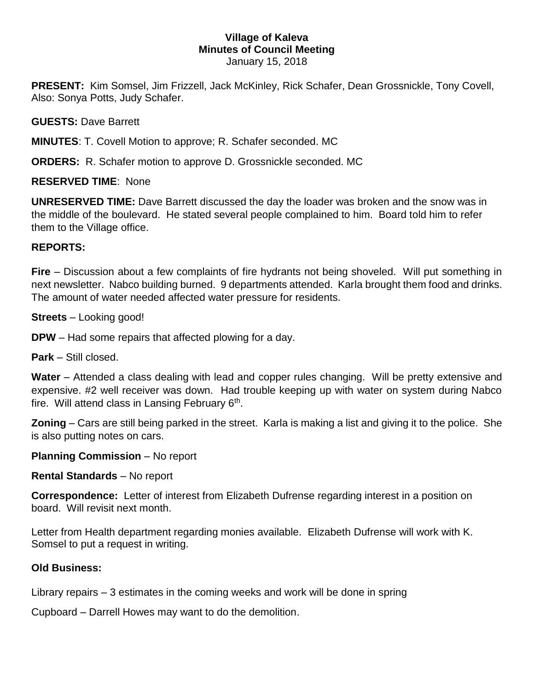## **Village of Kaleva Minutes of Council Meeting** January 15, 2018

**PRESENT:** Kim Somsel, Jim Frizzell, Jack McKinley, Rick Schafer, Dean Grossnickle, Tony Covell, Also: Sonya Potts, Judy Schafer.

**GUESTS:** Dave Barrett

**MINUTES**: T. Covell Motion to approve; R. Schafer seconded. MC

**ORDERS:** R. Schafer motion to approve D. Grossnickle seconded. MC

**RESERVED TIME**: None

**UNRESERVED TIME:** Dave Barrett discussed the day the loader was broken and the snow was in the middle of the boulevard. He stated several people complained to him. Board told him to refer them to the Village office.

## **REPORTS:**

**Fire** – Discussion about a few complaints of fire hydrants not being shoveled. Will put something in next newsletter. Nabco building burned. 9 departments attended. Karla brought them food and drinks. The amount of water needed affected water pressure for residents.

**Streets** – Looking good!

**DPW** – Had some repairs that affected plowing for a day.

**Park** – Still closed.

**Water** – Attended a class dealing with lead and copper rules changing. Will be pretty extensive and expensive. #2 well receiver was down. Had trouble keeping up with water on system during Nabco fire. Will attend class in Lansing February 6<sup>th</sup>.

**Zoning** – Cars are still being parked in the street. Karla is making a list and giving it to the police. She is also putting notes on cars.

**Planning Commission** – No report

**Rental Standards** – No report

**Correspondence:** Letter of interest from Elizabeth Dufrense regarding interest in a position on board. Will revisit next month.

Letter from Health department regarding monies available. Elizabeth Dufrense will work with K. Somsel to put a request in writing.

## **Old Business:**

Library repairs – 3 estimates in the coming weeks and work will be done in spring

Cupboard – Darrell Howes may want to do the demolition.